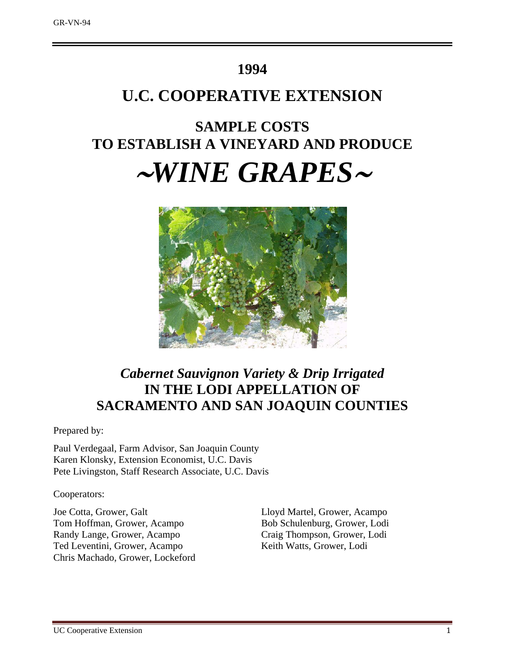## **1994**

## **U.C. COOPERATIVE EXTENSION**

# **SAMPLE COSTS TO ESTABLISH A VINEYARD AND PRODUCE** <sup>∼</sup>*WINE GRAPES*<sup>∼</sup>



## *Cabernet Sauvignon Variety & Drip Irrigated*  **IN THE LODI APPELLATION OF SACRAMENTO AND SAN JOAQUIN COUNTIES**

Prepared by:

Paul Verdegaal, Farm Advisor, San Joaquin County Karen Klonsky, Extension Economist, U.C. Davis Pete Livingston, Staff Research Associate, U.C. Davis

Cooperators:

Joe Cotta, Grower, Galt Lloyd Martel, Grower, Acampo Tom Hoffman, Grower, Acampo Bob Schulenburg, Grower, Lodi Randy Lange, Grower, Acampo Craig Thompson, Grower, Lodi Ted Leventini, Grower, Acampo Keith Watts, Grower, Lodi Chris Machado, Grower, Lockeford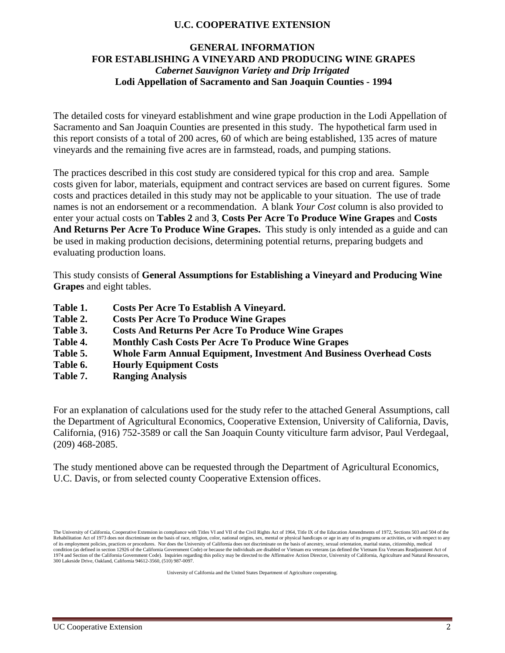### **U.C. COOPERATIVE EXTENSION**

## **GENERAL INFORMATION FOR ESTABLISHING A VINEYARD AND PRODUCING WINE GRAPES** *Cabernet Sauvignon Variety and Drip Irrigated* **Lodi Appellation of Sacramento and San Joaquin Counties - 1994**

The detailed costs for vineyard establishment and wine grape production in the Lodi Appellation of Sacramento and San Joaquin Counties are presented in this study. The hypothetical farm used in this report consists of a total of 200 acres, 60 of which are being established, 135 acres of mature vineyards and the remaining five acres are in farmstead, roads, and pumping stations.

The practices described in this cost study are considered typical for this crop and area. Sample costs given for labor, materials, equipment and contract services are based on current figures. Some costs and practices detailed in this study may not be applicable to your situation. The use of trade names is not an endorsement or a recommendation. A blank *Your Cost* column is also provided to enter your actual costs on **Tables 2** and **3**, **Costs Per Acre To Produce Wine Grapes** and **Costs And Returns Per Acre To Produce Wine Grapes.** This study is only intended as a guide and can be used in making production decisions, determining potential returns, preparing budgets and evaluating production loans.

This study consists of **General Assumptions for Establishing a Vineyard and Producing Wine Grapes** and eight tables.

- **Table 1. Costs Per Acre To Establish A Vineyard.**
- **Table 2. Costs Per Acre To Produce Wine Grapes**
- **Table 3. Costs And Returns Per Acre To Produce Wine Grapes**
- **Table 4. Monthly Cash Costs Per Acre To Produce Wine Grapes**
- **Table 5. Whole Farm Annual Equipment, Investment And Business Overhead Costs**
- **Table 6. Hourly Equipment Costs**
- **Table 7. Ranging Analysis**

For an explanation of calculations used for the study refer to the attached General Assumptions, call the Department of Agricultural Economics, Cooperative Extension, University of California, Davis, California, (916) 752-3589 or call the San Joaquin County viticulture farm advisor, Paul Verdegaal, (209) 468-2085.

The study mentioned above can be requested through the Department of Agricultural Economics, U.C. Davis, or from selected county Cooperative Extension offices.

University of California and the United States Department of Agriculture cooperating.

The University of California, Cooperative Extension in compliance with Titles VI and VII of the Civil Rights Act of 1964, Title IX of the Education Amendments of 1972, Sections 503 and 504 of the Rehabilitation Act of 1973 does not discriminate on the basis of race, religion, color, national origins, sex, mental or physical handicaps or age in any of its programs or activities, or with respect to any of its employment policies, practices or procedures. Nor does the University of California does not discriminate on the basis of ancestry, sexual orientation, marital status, citizenship, medical condition (as defined in section 12926 of the California Government Code) or because the individuals are disabled or Vietnam era veterans (as defined the Vietnam Era Veterans Readjustment Act of<br>1974 and Section of the Cal 300 Lakeside Drive, Oakland, California 94612-3560, (510) 987-0097.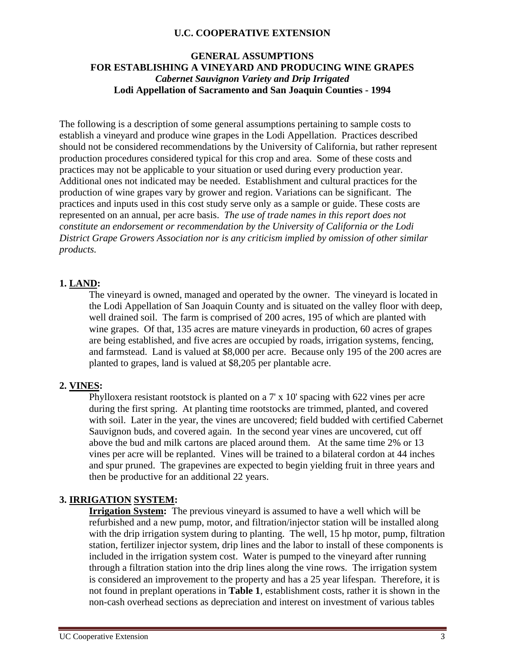#### **U.C. COOPERATIVE EXTENSION**

#### **GENERAL ASSUMPTIONS FOR ESTABLISHING A VINEYARD AND PRODUCING WINE GRAPES** *Cabernet Sauvignon Variety and Drip Irrigated* **Lodi Appellation of Sacramento and San Joaquin Counties - 1994**

The following is a description of some general assumptions pertaining to sample costs to establish a vineyard and produce wine grapes in the Lodi Appellation. Practices described should not be considered recommendations by the University of California, but rather represent production procedures considered typical for this crop and area. Some of these costs and practices may not be applicable to your situation or used during every production year. Additional ones not indicated may be needed.Establishment and cultural practices for the production of wine grapes vary by grower and region. Variations can be significant. The practices and inputs used in this cost study serve only as a sample or guide. These costs are represented on an annual, per acre basis. *The use of trade names in this report does not constitute an endorsement or recommendation by the University of California or the Lodi District Grape Growers Association nor is any criticism implied by omission of other similar products.* 

### **1. LAND:**

The vineyard is owned, managed and operated by the owner. The vineyard is located in the Lodi Appellation of San Joaquin County and is situated on the valley floor with deep, well drained soil. The farm is comprised of 200 acres, 195 of which are planted with wine grapes. Of that, 135 acres are mature vineyards in production, 60 acres of grapes are being established, and five acres are occupied by roads, irrigation systems, fencing, and farmstead. Land is valued at \$8,000 per acre. Because only 195 of the 200 acres are planted to grapes, land is valued at \$8,205 per plantable acre.

#### **2. VINES:**

Phylloxera resistant rootstock is planted on a 7' x 10' spacing with 622 vines per acre during the first spring. At planting time rootstocks are trimmed, planted, and covered with soil. Later in the year, the vines are uncovered; field budded with certified Cabernet Sauvignon buds, and covered again. In the second year vines are uncovered, cut off above the bud and milk cartons are placed around them. At the same time 2% or 13 vines per acre will be replanted. Vines will be trained to a bilateral cordon at 44 inches and spur pruned. The grapevines are expected to begin yielding fruit in three years and then be productive for an additional 22 years.

### **3. IRRIGATION SYSTEM:**

**Irrigation System:** The previous vineyard is assumed to have a well which will be refurbished and a new pump, motor, and filtration/injector station will be installed along with the drip irrigation system during to planting. The well, 15 hp motor, pump, filtration station, fertilizer injector system, drip lines and the labor to install of these components is included in the irrigation system cost. Water is pumped to the vineyard after running through a filtration station into the drip lines along the vine rows. The irrigation system is considered an improvement to the property and has a 25 year lifespan. Therefore, it is not found in preplant operations in **Table 1**, establishment costs, rather it is shown in the non-cash overhead sections as depreciation and interest on investment of various tables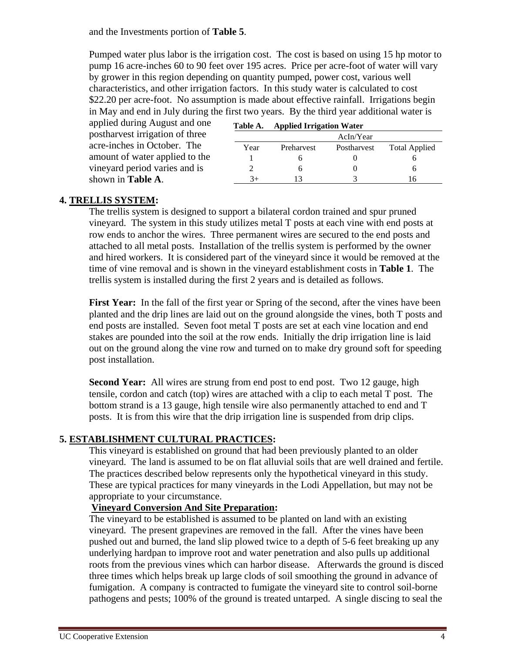and the Investments portion of **Table 5**.

Pumped water plus labor is the irrigation cost. The cost is based on using 15 hp motor to pump 16 acre-inches 60 to 90 feet over 195 acres. Price per acre-foot of water will vary by grower in this region depending on quantity pumped, power cost, various well characteristics, and other irrigation factors. In this study water is calculated to cost \$22.20 per acre-foot. No assumption is made about effective rainfall. Irrigations begin in May and end in July during the first two years. By the third year additional water is

applied during August and one postharvest irrigation of three acre-inches in October. The amount of water applied to the vineyard period varies and is shown in **Table A**.

| Table A. | <b>Applied Irrigation Water</b> |             |                      |
|----------|---------------------------------|-------------|----------------------|
|          |                                 | AcIn/Year   |                      |
| Year     | Preharvest                      | Postharvest | <b>Total Applied</b> |
|          |                                 |             |                      |
|          |                                 |             |                      |
| ุวุ⊥     |                                 |             |                      |

### **4. TRELLIS SYSTEM:**

The trellis system is designed to support a bilateral cordon trained and spur pruned vineyard. The system in this study utilizes metal T posts at each vine with end posts at row ends to anchor the wires. Three permanent wires are secured to the end posts and attached to all metal posts. Installation of the trellis system is performed by the owner and hired workers. It is considered part of the vineyard since it would be removed at the time of vine removal and is shown in the vineyard establishment costs in **Table 1**. The trellis system is installed during the first 2 years and is detailed as follows.

**First Year:** In the fall of the first year or Spring of the second, after the vines have been planted and the drip lines are laid out on the ground alongside the vines, both T posts and end posts are installed. Seven foot metal T posts are set at each vine location and end stakes are pounded into the soil at the row ends. Initially the drip irrigation line is laid out on the ground along the vine row and turned on to make dry ground soft for speeding post installation.

**Second Year:** All wires are strung from end post to end post. Two 12 gauge, high tensile, cordon and catch (top) wires are attached with a clip to each metal T post. The bottom strand is a 13 gauge, high tensile wire also permanently attached to end and T posts. It is from this wire that the drip irrigation line is suspended from drip clips.

## **5. ESTABLISHMENT CULTURAL PRACTICES:**

This vineyard is established on ground that had been previously planted to an older vineyard. The land is assumed to be on flat alluvial soils that are well drained and fertile. The practices described below represents only the hypothetical vineyard in this study. These are typical practices for many vineyards in the Lodi Appellation, but may not be appropriate to your circumstance.

### **Vineyard Conversion And Site Preparation:**

The vineyard to be established is assumed to be planted on land with an existing vineyard. The present grapevines are removed in the fall. After the vines have been pushed out and burned, the land slip plowed twice to a depth of 5-6 feet breaking up any underlying hardpan to improve root and water penetration and also pulls up additional roots from the previous vines which can harbor disease. Afterwards the ground is disced three times which helps break up large clods of soil smoothing the ground in advance of fumigation. A company is contracted to fumigate the vineyard site to control soil-borne pathogens and pests; 100% of the ground is treated untarped. A single discing to seal the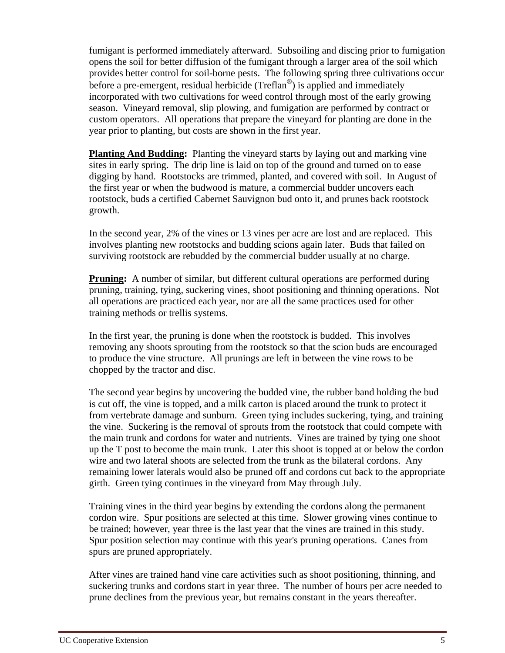fumigant is performed immediately afterward. Subsoiling and discing prior to fumigation opens the soil for better diffusion of the fumigant through a larger area of the soil which provides better control for soil-borne pests. The following spring three cultivations occur before a pre-emergent, residual herbicide (Treflan<sup>®</sup>) is applied and immediately incorporated with two cultivations for weed control through most of the early growing season. Vineyard removal, slip plowing, and fumigation are performed by contract or custom operators. All operations that prepare the vineyard for planting are done in the year prior to planting, but costs are shown in the first year.

**Planting And Budding:** Planting the vineyard starts by laying out and marking vine sites in early spring. The drip line is laid on top of the ground and turned on to ease digging by hand. Rootstocks are trimmed, planted, and covered with soil. In August of the first year or when the budwood is mature, a commercial budder uncovers each rootstock, buds a certified Cabernet Sauvignon bud onto it, and prunes back rootstock growth.

In the second year, 2% of the vines or 13 vines per acre are lost and are replaced. This involves planting new rootstocks and budding scions again later. Buds that failed on surviving rootstock are rebudded by the commercial budder usually at no charge.

**Pruning:** A number of similar, but different cultural operations are performed during pruning, training, tying, suckering vines, shoot positioning and thinning operations. Not all operations are practiced each year, nor are all the same practices used for other training methods or trellis systems.

In the first year, the pruning is done when the rootstock is budded. This involves removing any shoots sprouting from the rootstock so that the scion buds are encouraged to produce the vine structure. All prunings are left in between the vine rows to be chopped by the tractor and disc.

The second year begins by uncovering the budded vine, the rubber band holding the bud is cut off, the vine is topped, and a milk carton is placed around the trunk to protect it from vertebrate damage and sunburn. Green tying includes suckering, tying, and training the vine. Suckering is the removal of sprouts from the rootstock that could compete with the main trunk and cordons for water and nutrients. Vines are trained by tying one shoot up the T post to become the main trunk. Later this shoot is topped at or below the cordon wire and two lateral shoots are selected from the trunk as the bilateral cordons. Any remaining lower laterals would also be pruned off and cordons cut back to the appropriate girth. Green tying continues in the vineyard from May through July.

Training vines in the third year begins by extending the cordons along the permanent cordon wire. Spur positions are selected at this time. Slower growing vines continue to be trained; however, year three is the last year that the vines are trained in this study. Spur position selection may continue with this year's pruning operations. Canes from spurs are pruned appropriately.

After vines are trained hand vine care activities such as shoot positioning, thinning, and suckering trunks and cordons start in year three. The number of hours per acre needed to prune declines from the previous year, but remains constant in the years thereafter.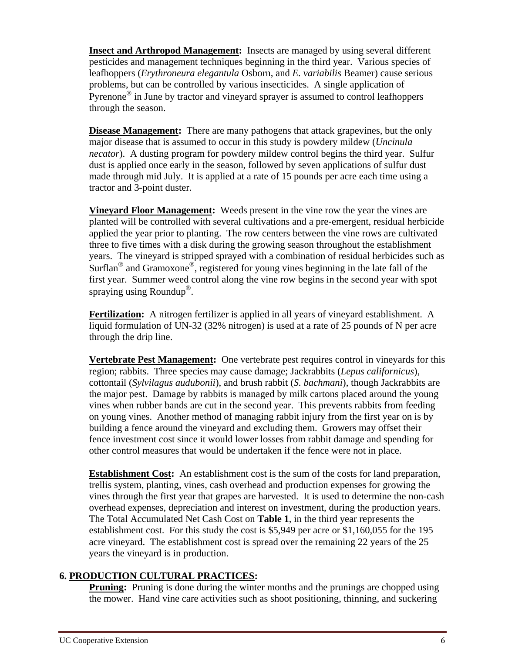**Insect and Arthropod Management:** Insects are managed by using several different pesticides and management techniques beginning in the third year. Various species of leafhoppers (*Erythroneura elegantula* Osborn, and *E. variabilis* Beamer) cause serious problems, but can be controlled by various insecticides. A single application of Pyrenone $\mathscr P$  in June by tractor and vineyard sprayer is assumed to control leafhoppers through the season.

**Disease Management:** There are many pathogens that attack grapevines, but the only major disease that is assumed to occur in this study is powdery mildew (*Uncinula necator*). A dusting program for powdery mildew control begins the third year. Sulfur dust is applied once early in the season, followed by seven applications of sulfur dust made through mid July. It is applied at a rate of 15 pounds per acre each time using a tractor and 3-point duster.

**Vineyard Floor Management:** Weeds present in the vine row the year the vines are planted will be controlled with several cultivations and a pre-emergent, residual herbicide applied the year prior to planting. The row centers between the vine rows are cultivated three to five times with a disk during the growing season throughout the establishment years. The vineyard is stripped sprayed with a combination of residual herbicides such as Surflan<sup>®</sup> and Gramoxone<sup>®</sup>, registered for young vines beginning in the late fall of the first year. Summer weed control along the vine row begins in the second year with spot spraying using Roundup<sup>®</sup>.

**Fertilization:** A nitrogen fertilizer is applied in all years of vineyard establishment. A liquid formulation of UN-32 (32% nitrogen) is used at a rate of 25 pounds of N per acre through the drip line.

**Vertebrate Pest Management:** One vertebrate pest requires control in vineyards for this region; rabbits. Three species may cause damage; Jackrabbits (*Lepus californicus*), cottontail (*Sylvilagus audubonii*), and brush rabbit (*S. bachmani*), though Jackrabbits are the major pest. Damage by rabbits is managed by milk cartons placed around the young vines when rubber bands are cut in the second year. This prevents rabbits from feeding on young vines. Another method of managing rabbit injury from the first year on is by building a fence around the vineyard and excluding them. Growers may offset their fence investment cost since it would lower losses from rabbit damage and spending for other control measures that would be undertaken if the fence were not in place.

**Establishment Cost:** An establishment cost is the sum of the costs for land preparation, trellis system, planting, vines, cash overhead and production expenses for growing the vines through the first year that grapes are harvested. It is used to determine the non-cash overhead expenses, depreciation and interest on investment, during the production years. The Total Accumulated Net Cash Cost on **Table 1**, in the third year represents the establishment cost. For this study the cost is \$5,949 per acre or \$1,160,055 for the 195 acre vineyard. The establishment cost is spread over the remaining 22 years of the 25 years the vineyard is in production.

## **6. PRODUCTION CULTURAL PRACTICES:**

**Pruning:** Pruning is done during the winter months and the prunings are chopped using the mower. Hand vine care activities such as shoot positioning, thinning, and suckering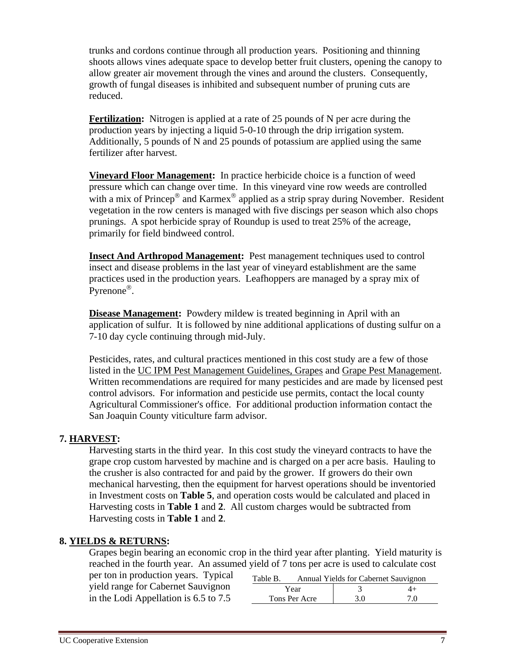trunks and cordons continue through all production years. Positioning and thinning shoots allows vines adequate space to develop better fruit clusters, opening the canopy to allow greater air movement through the vines and around the clusters. Consequently, growth of fungal diseases is inhibited and subsequent number of pruning cuts are reduced.

**Fertilization:** Nitrogen is applied at a rate of 25 pounds of N per acre during the production years by injecting a liquid 5-0-10 through the drip irrigation system. Additionally, 5 pounds of N and 25 pounds of potassium are applied using the same fertilizer after harvest.

**Vineyard Floor Management:** In practice herbicide choice is a function of weed pressure which can change over time. In this vineyard vine row weeds are controlled with a mix of Princep<sup>®</sup> and Karmex<sup>®</sup> applied as a strip spray during November. Resident vegetation in the row centers is managed with five discings per season which also chops prunings. A spot herbicide spray of Roundup is used to treat 25% of the acreage, primarily for field bindweed control.

**Insect And Arthropod Management:** Pest management techniques used to control insect and disease problems in the last year of vineyard establishment are the same practices used in the production years. Leafhoppers are managed by a spray mix of Pyrenone<sup>®</sup>.

**Disease Management:** Powdery mildew is treated beginning in April with an application of sulfur. It is followed by nine additional applications of dusting sulfur on a 7-10 day cycle continuing through mid-July.

Pesticides, rates, and cultural practices mentioned in this cost study are a few of those listed in the UC IPM Pest Management Guidelines, Grapes and Grape Pest Management. Written recommendations are required for many pesticides and are made by licensed pest control advisors. For information and pesticide use permits, contact the local county Agricultural Commissioner's office. For additional production information contact the San Joaquin County viticulture farm advisor.

### **7. HARVEST:**

Harvesting starts in the third year. In this cost study the vineyard contracts to have the grape crop custom harvested by machine and is charged on a per acre basis. Hauling to the crusher is also contracted for and paid by the grower. If growers do their own mechanical harvesting, then the equipment for harvest operations should be inventoried in Investment costs on **Table 5**, and operation costs would be calculated and placed in Harvesting costs in **Table 1** and **2**. All custom charges would be subtracted from Harvesting costs in **Table 1** and **2**.

### **8. YIELDS & RETURNS:**

Grapes begin bearing an economic crop in the third year after planting.Yield maturity is reached in the fourth year. An assumed yield of 7 tons per acre is used to calculate cost

| per ton in production years. Typical  | Table B. |               | Annual Yields for Cabernet Sauvignon |      |
|---------------------------------------|----------|---------------|--------------------------------------|------|
| yield range for Cabernet Sauvignon    |          | Year          |                                      | $4+$ |
| in the Lodi Appellation is 6.5 to 7.5 |          | Tons Per Acre | 3.0                                  | 7.0  |
|                                       |          |               |                                      |      |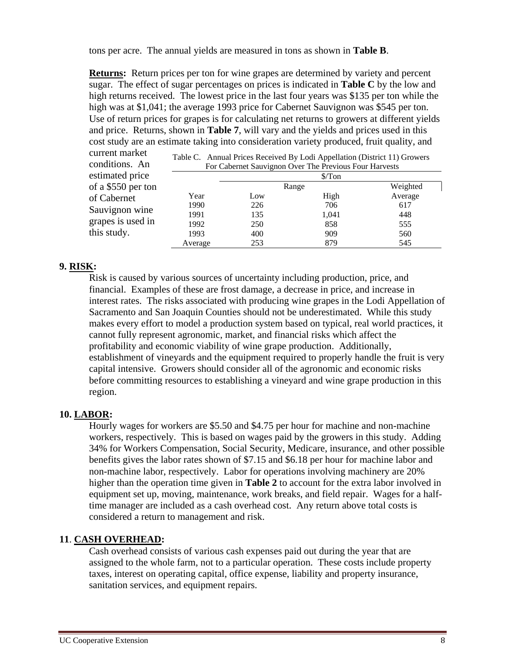tons per acre. The annual yields are measured in tons as shown in **Table B**.

**Returns:** Return prices per ton for wine grapes are determined by variety and percent sugar. The effect of sugar percentages on prices is indicated in **Table C** by the low and high returns received. The lowest price in the last four years was \$135 per ton while the high was at \$1,041; the average 1993 price for Cabernet Sauvignon was \$545 per ton. Use of return prices for grapes is for calculating net returns to growers at different yields and price. Returns, shown in **Table 7**, will vary and the yields and prices used in this cost study are an estimate taking into consideration variety produced, fruit quality, and

| current market<br>conditions. An | Table C. Annual Prices Received By Lodi Appellation (District 11) Growers<br>For Cabernet Sauvignon Over The Previous Four Harvests |       |          |         |  |  |  |  |  |
|----------------------------------|-------------------------------------------------------------------------------------------------------------------------------------|-------|----------|---------|--|--|--|--|--|
| estimated price                  | $\sqrt{\frac{2}{10}}$                                                                                                               |       |          |         |  |  |  |  |  |
| of a \$550 per ton               |                                                                                                                                     | Range | Weighted |         |  |  |  |  |  |
| of Cabernet                      | Year                                                                                                                                | Low   | High     | Average |  |  |  |  |  |
| Sauvignon wine                   | 1990                                                                                                                                | 226   | 706      | 617     |  |  |  |  |  |
|                                  | 1991                                                                                                                                | 135   | 1,041    | 448     |  |  |  |  |  |
| grapes is used in                | 1992                                                                                                                                | 250   | 858      | 555     |  |  |  |  |  |
| this study.                      | 1993                                                                                                                                | 400   | 909      | 560     |  |  |  |  |  |
|                                  | Average                                                                                                                             | 253   | 879      | 545     |  |  |  |  |  |

#### **9. RISK:**

Risk is caused by various sources of uncertainty including production, price, and financial. Examples of these are frost damage, a decrease in price, and increase in interest rates. The risks associated with producing wine grapes in the Lodi Appellation of Sacramento and San Joaquin Counties should not be underestimated. While this study makes every effort to model a production system based on typical, real world practices, it cannot fully represent agronomic, market, and financial risks which affect the profitability and economic viability of wine grape production. Additionally, establishment of vineyards and the equipment required to properly handle the fruit is very capital intensive. Growers should consider all of the agronomic and economic risks before committing resources to establishing a vineyard and wine grape production in this region.

### **10. LABOR:**

Hourly wages for workers are \$5.50 and \$4.75 per hour for machine and non-machine workers, respectively. This is based on wages paid by the growers in this study. Adding 34% for Workers Compensation, Social Security, Medicare, insurance, and other possible benefits gives the labor rates shown of \$7.15 and \$6.18 per hour for machine labor and non-machine labor, respectively. Labor for operations involving machinery are 20% higher than the operation time given in **Table 2** to account for the extra labor involved in equipment set up, moving, maintenance, work breaks, and field repair. Wages for a halftime manager are included as a cash overhead cost. Any return above total costs is considered a return to management and risk.

### **11**. **CASH OVERHEAD:**

Cash overhead consists of various cash expenses paid out during the year that are assigned to the whole farm, not to a particular operation. These costs include property taxes, interest on operating capital, office expense, liability and property insurance, sanitation services, and equipment repairs.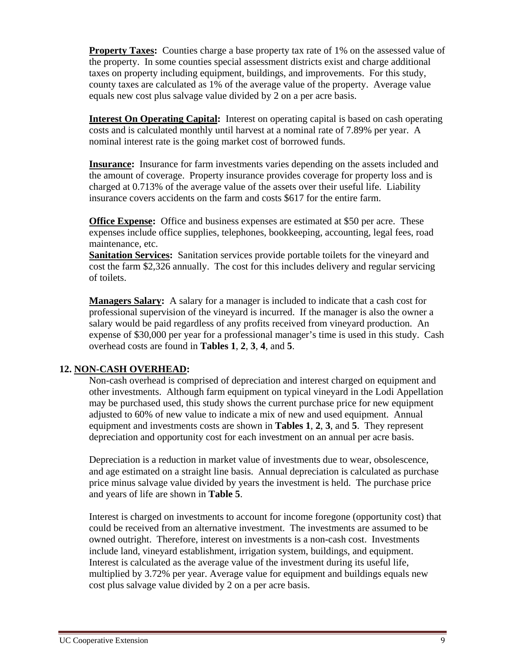**Property Taxes:** Counties charge a base property tax rate of 1% on the assessed value of the property. In some counties special assessment districts exist and charge additional taxes on property including equipment, buildings, and improvements. For this study, county taxes are calculated as 1% of the average value of the property. Average value equals new cost plus salvage value divided by 2 on a per acre basis.

**Interest On Operating Capital:** Interest on operating capital is based on cash operating costs and is calculated monthly until harvest at a nominal rate of 7.89% per year. A nominal interest rate is the going market cost of borrowed funds.

**Insurance:** Insurance for farm investments varies depending on the assets included and the amount of coverage. Property insurance provides coverage for property loss and is charged at 0.713% of the average value of the assets over their useful life. Liability insurance covers accidents on the farm and costs \$617 for the entire farm.

**Office Expense:** Office and business expenses are estimated at \$50 per acre. These expenses include office supplies, telephones, bookkeeping, accounting, legal fees, road maintenance, etc.

**Sanitation Services:** Sanitation services provide portable toilets for the vineyard and cost the farm \$2,326 annually. The cost for this includes delivery and regular servicing of toilets.

**Managers Salary:** A salary for a manager is included to indicate that a cash cost for professional supervision of the vineyard is incurred. If the manager is also the owner a salary would be paid regardless of any profits received from vineyard production. An expense of \$30,000 per year for a professional manager's time is used in this study. Cash overhead costs are found in **Tables 1**, **2**, **3**, **4**, and **5**.

### **12. NON-CASH OVERHEAD:**

Non-cash overhead is comprised of depreciation and interest charged on equipment and other investments. Although farm equipment on typical vineyard in the Lodi Appellation may be purchased used, this study shows the current purchase price for new equipment adjusted to 60% of new value to indicate a mix of new and used equipment. Annual equipment and investments costs are shown in **Tables 1**, **2**, **3**, and **5**. They represent depreciation and opportunity cost for each investment on an annual per acre basis.

Depreciation is a reduction in market value of investments due to wear, obsolescence, and age estimated on a straight line basis. Annual depreciation is calculated as purchase price minus salvage value divided by years the investment is held. The purchase price and years of life are shown in **Table 5**.

Interest is charged on investments to account for income foregone (opportunity cost) that could be received from an alternative investment. The investments are assumed to be owned outright. Therefore, interest on investments is a non-cash cost. Investments include land, vineyard establishment, irrigation system, buildings, and equipment. Interest is calculated as the average value of the investment during its useful life, multiplied by 3.72% per year. Average value for equipment and buildings equals new cost plus salvage value divided by 2 on a per acre basis.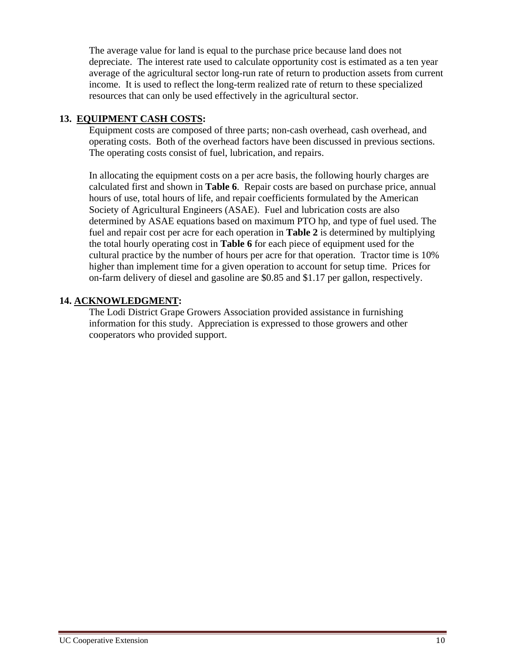The average value for land is equal to the purchase price because land does not depreciate. The interest rate used to calculate opportunity cost is estimated as a ten year average of the agricultural sector long-run rate of return to production assets from current income. It is used to reflect the long-term realized rate of return to these specialized resources that can only be used effectively in the agricultural sector.

### **13. EQUIPMENT CASH COSTS:**

Equipment costs are composed of three parts; non-cash overhead, cash overhead, and operating costs. Both of the overhead factors have been discussed in previous sections. The operating costs consist of fuel, lubrication, and repairs.

In allocating the equipment costs on a per acre basis, the following hourly charges are calculated first and shown in **Table 6**. Repair costs are based on purchase price, annual hours of use, total hours of life, and repair coefficients formulated by the American Society of Agricultural Engineers (ASAE). Fuel and lubrication costs are also determined by ASAE equations based on maximum PTO hp, and type of fuel used. The fuel and repair cost per acre for each operation in **Table 2** is determined by multiplying the total hourly operating cost in **Table 6** for each piece of equipment used for the cultural practice by the number of hours per acre for that operation. Tractor time is 10% higher than implement time for a given operation to account for setup time. Prices for on-farm delivery of diesel and gasoline are \$0.85 and \$1.17 per gallon, respectively.

### **14. ACKNOWLEDGMENT:**

The Lodi District Grape Growers Association provided assistance in furnishing information for this study. Appreciation is expressed to those growers and other cooperators who provided support.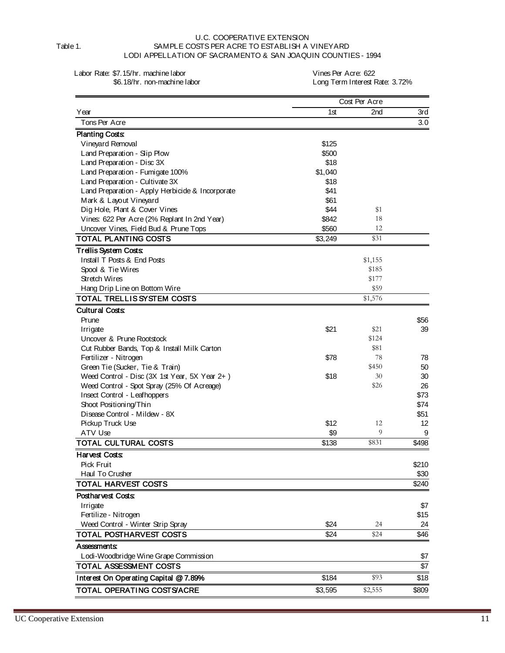U.C. COOPERATIVE EXTENSION Table 1. SAMPLE COSTS PER ACRE TO ESTABLISH A VINEYARD LODI APPELLATION OF SACRAMENTO & SAN JOAQUIN COUNTIES - 1994

Labor Rate: \$7.15/hr. machine labor<br>\$6.18/hr. non-machine labor (\$6.18/hr. non-machine labor (\$9.18) Long Term Interest F

Long Term Interest Rate: 3.72%

|                                                  |         | Cost Per Acre |       |
|--------------------------------------------------|---------|---------------|-------|
| Year                                             | 1st     | 2nd           | 3rd   |
| Tons Per Acre                                    |         |               | 3.0   |
| <b>Planting Costs:</b>                           |         |               |       |
| Vineyard Removal                                 | \$125   |               |       |
| Land Preparation - Slip Plow                     | \$500   |               |       |
| Land Preparation - Disc 3X                       | \$18    |               |       |
| Land Preparation - Fumigate 100%                 | \$1,040 |               |       |
| Land Preparation - Cultivate 3X                  | \$18    |               |       |
| Land Preparation - Apply Herbicide & Incorporate | \$41    |               |       |
| Mark & Layout Vineyard                           | \$61    |               |       |
| Dig Hole, Plant & Cover Vines                    | \$44    | \$1           |       |
| Vines: 622 Per Acre (2% Replant In 2nd Year)     | \$842   | 18            |       |
| Uncover Vines, Field Bud & Prune Tops            | \$560   | 12            |       |
| TOTAL PLANTING COSTS                             | \$3,249 | \$31          |       |
| Trellis System Costs:                            |         |               |       |
| Install T Posts & End Posts                      |         | \$1,155       |       |
| Spool & Tie Wires                                |         | \$185         |       |
| Stretch Wires                                    |         | \$177         |       |
| Hang Drip Line on Bottom Wire                    |         | \$59          |       |
| TOTAL TRELLIS SYSTEM COSTS                       |         | \$1,576       |       |
| <b>Cultural Costs:</b>                           |         |               |       |
| Prune                                            |         |               | \$56  |
| Irrigate                                         | \$21    | \$21          | 39    |
| Uncover & Prune Rootstock                        |         | \$124         |       |
| Cut Rubber Bands, Top & Install Milk Carton      |         | \$81          |       |
| Fertilizer - Nitrogen                            | \$78    | 78            | 78    |
| Green Tie (Sucker, Tie & Train)                  |         | \$450         | 50    |
| Weed Control - Disc (3X 1st Year, 5X Year 2+)    | \$18    | 30            | 30    |
| Weed Control - Spot Spray (25% Of Acreage)       |         | \$26          | 26    |
| Insect Control - Leafhoppers                     |         |               | \$73  |
| Shoot Positioning/Thin                           |         |               | \$74  |
| Disease Control - Mildew - 8X                    |         |               | \$51  |
| Pickup Truck Use                                 | \$12    | 12            | 12    |
| ATV Use                                          | \$9     | 9             | 9     |
| TOTAL CULTURAL COSTS                             | \$138   | \$831         | \$498 |
| <b>Harvest Costs:</b>                            |         |               |       |
| Pick Fruit                                       |         |               | \$210 |
| Haul To Crusher                                  |         |               | \$30  |
| TOTAL HARVEST COSTS                              |         |               | \$240 |
| Postharvest Costs:                               |         |               |       |
| Irrigate                                         |         |               | \$7   |
| Fertilize - Nitrogen                             |         |               | \$15  |
| Weed Control - Winter Strip Spray                | \$24    | 24            | 24    |
| <b>TOTAL POSTHARVEST COSTS</b>                   | \$24    | \$24          | \$46  |
| <b>Assessments:</b>                              |         |               |       |
| Lodi-Woodbridge Wine Grape Commission            |         |               | \$7   |
| TOTAL ASSESSMENT COSTS                           |         |               | \$7   |
| Interest On Operating Capital @ 7.89%            | \$184   | \$93          | \$18  |
| TOTAL OPERATING COSTS/ACRE                       | \$3,595 | \$2,555       | \$809 |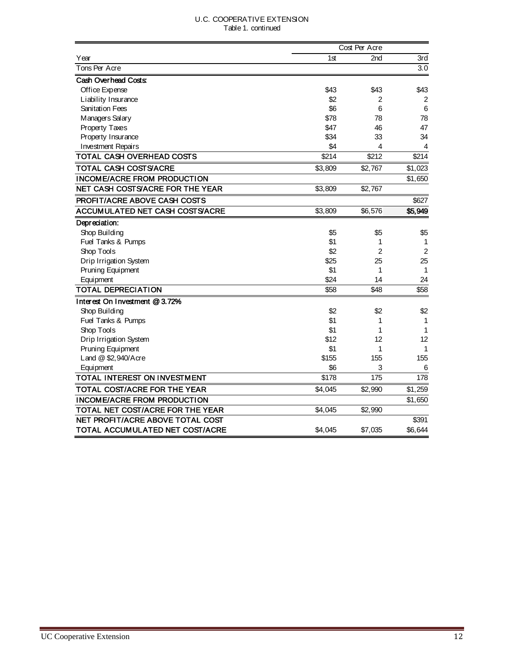#### U.C. COOPERATIVE EXTENSION Table 1. continued

|                                     |               | Cost Per Acre |                 |
|-------------------------------------|---------------|---------------|-----------------|
| Year                                | 1st           | 2nd           | 3rd             |
| Tons Per Acre                       |               |               | 3.0             |
| Cash Overhead Costs:                |               |               |                 |
| Office Expense                      | \$43          | \$43          | \$43            |
| Liability Insurance                 | \$2           | 2             | 2               |
| <b>Sanitation Fees</b>              | \$6           | 6             | $6\phantom{1}6$ |
| Managers Salary                     | \$78          | 78            | 78              |
| Property Taxes                      | \$47          | 46            | 47              |
| Property Insurance                  | \$34          | 33            | 34              |
| <b>Investment Repairs</b>           | \$4           | 4             | 4               |
| <b>TOTAL CASH OVERHEAD COSTS</b>    | $\sqrt{$214}$ | \$212         | \$214           |
| TOTAL CASH COSTS/ACRE               | \$3,809       | \$2,767       | \$1,023         |
| <b>INCOME/ACRE FROM PRODUCTION</b>  |               |               | \$1,650         |
| NET CASH COSTS/ACRE FOR THE YEAR    | \$3,809       | \$2,767       |                 |
| <b>PROFIT/ACRE ABOVE CASH COSTS</b> |               |               | \$627           |
| ACCUMULATED NET CASH COSTS/ACRE     | \$3,809       | \$6,576       | \$5,949         |
| Depreciation:                       |               |               |                 |
| Shop Building                       | \$5           | \$5           | \$5             |
| Fuel Tanks & Pumps                  | \$1           | 1             | 1               |
| Shop Tools                          | \$2           | 2             | $\overline{c}$  |
| Drip Irrigation System              | \$25          | 25            | 25              |
| Pruning Equipment                   | \$1           | 1             | $\mathbf{1}$    |
| Equipment                           | \$24          | 14            | 24              |
| <b>TOTAL DEPRECIATION</b>           | \$58          | \$48          | \$58            |
| Interest On Investment @ 3.72%      |               |               |                 |
| Shop Building                       | \$2           | \$2           | \$2             |
| Fuel Tanks & Pumps                  | \$1           | 1             | 1               |
| Shop Tools                          | \$1           | 1             | 1               |
| Drip Irrigation System              | \$12          | 12            | 12              |
| Pruning Equipment                   | \$1           | 1             | 1               |
| Land @ \$2,940/Acre                 | \$155         | 155           | 155             |
| Equipment                           | \$6           | 3             | 6               |
| <b>TOTAL INTEREST ON INVESTMENT</b> | \$178         | 175           | 178             |
| TOTAL COST/ACRE FOR THE YEAR        | \$4,045       | \$2,990       | \$1,259         |
| <b>INCOME/ACRE FROM PRODUCTION</b>  |               |               | \$1,650         |
| TOTAL NET COST/ACRE FOR THE YEAR    | \$4,045       | \$2,990       |                 |
| NET PROFIT/ACRE ABOVE TOTAL COST    |               |               | \$391           |
| TOTAL ACCUMULATED NET COST/ACRE     | \$4,045       | \$7,035       | \$6,644         |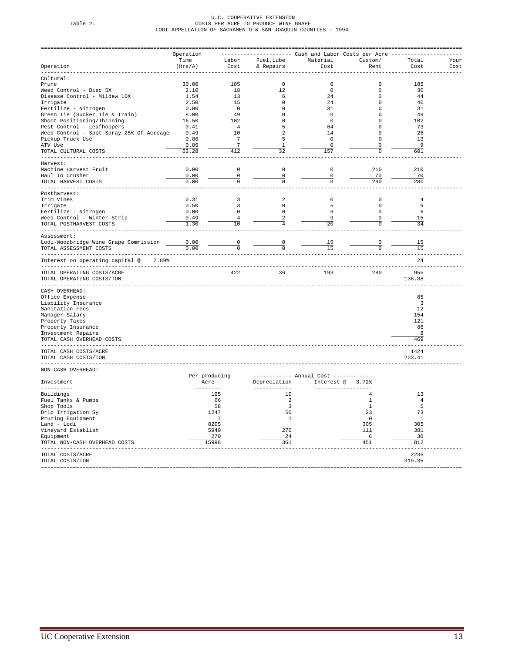# U.C. COOPERATIVE EXTENSION Table 2. COSTS PER ACRE TO PRODUCE WINE GRAPE LODI APPELLATION OF SACRAMENTO & SAN JOAQUIN COUNTIES - 1994

|                                                         | Operation       |                                  |                                  |                                      | ----------- Cash and Labor Costs per Acre - |                         |      |
|---------------------------------------------------------|-----------------|----------------------------------|----------------------------------|--------------------------------------|---------------------------------------------|-------------------------|------|
|                                                         | Time<br>(Hrs/A) | Labor<br>Cost                    |                                  | Fuel, Lube Material                  | Custom/                                     | Total                   | Your |
| Operation<br>---------                                  |                 |                                  | & Repairs                        | Cost                                 | Rent                                        | Cost                    | Cost |
| Cultural:                                               |                 |                                  |                                  |                                      |                                             |                         |      |
| Prune                                                   | 30.00           | 185                              | $\Omega$                         | $\mathbf 0$                          | $\mathbf 0$                                 | 185                     |      |
| Weed Control - Disc 5X                                  | 2.10            | 18                               | 12                               | $\mathbf 0$                          | 0                                           | 30                      |      |
| Disease Control - Mildew 10X                            | 1.54            | 13                               | 6                                | 24                                   | $\mathbf 0$                                 | 44                      |      |
| Irrigate                                                | 2.50            | 15                               | $\mathbf 0$                      | 24                                   | $\mathbf 0$                                 | 40                      |      |
| Fertilize - Nitrogen                                    | 0.00            | $\overline{0}$                   | $\mathbf 0$                      | 31                                   | $\Omega$                                    | 31                      |      |
| Green Tie (Sucker Tie & Train)                          | 8.00            | 49                               | $\mathbf 0$                      | $\overline{\phantom{0}}$             | $\Omega$                                    | - 49                    |      |
| Shoot Positioning/Thinning                              | 16.50           | 102                              | $\mathbf 0$                      | $\overline{0}$                       | $\Omega$                                    | 102                     |      |
| Pest Control - Leafhoppers                              | 0.41            | $\overline{4}$                   | 5                                | 64                                   | $\Omega$                                    | 73                      |      |
| Weed Control - Spot Spray 25% Of Acreage                | 0.49            | 10                               | $\overline{2}$                   | 14                                   | $\mathbf 0$                                 | 26                      |      |
| Pickup Truck Use                                        | 0.86            | $7\phantom{.0}$                  | 5                                | $\mathbf 0$                          | $\mathbf 0$                                 | 13                      |      |
| ATV Use                                                 | 0.86            | $\overline{7}$                   | $\mathbf{1}$                     | $\mathbf 0$                          | 0                                           | 9                       |      |
| TOTAL CULTURAL COSTS                                    | 63.28           | 412                              | 32                               | 157                                  | $\mathbf 0$                                 | 601                     |      |
| ---------                                               |                 |                                  |                                  |                                      |                                             |                         |      |
| Harvest:                                                |                 |                                  |                                  |                                      |                                             |                         |      |
| Machine Harvest Fruit                                   | 0.00            | $\mathsf 0$                      | $\mathsf 0$                      | $\mathsf 0$                          | 210                                         | 210                     |      |
| Haul To Crusher                                         | 0.00            | 0                                | 0                                | 0                                    | 70                                          | 70                      |      |
| TOTAL HARVEST COSTS<br>--------------                   | 0.00            | 0                                | $\mathbf 0$                      | $\mathbf 0$                          | 280                                         | 280                     |      |
| Postharvest:                                            |                 |                                  |                                  |                                      |                                             |                         |      |
| Trim Vines                                              | 0.31            | 3                                | 2                                | $\mathbf 0$                          | $\mathbf 0$                                 | $\overline{4}$          |      |
| Irrigate                                                | 0.50            | $\overline{3}$                   | $\mathbf{0}$                     | 6                                    | $\mathbf 0$                                 | 9                       |      |
| Fertilize - Nitrogen                                    | 0.00            | $\mathsf 0$                      | $\mathbb O$                      | 6                                    | 0                                           | 6                       |      |
| Weed Control - Winter Strip                             | 0.49            | 4                                | $\overline{a}$                   | 9                                    | 0                                           | 15                      |      |
| TOTAL POSTHARVEST COSTS                                 | 1.30            | 10                               | $\overline{4}$                   | 20                                   | $\Omega$                                    | 34                      |      |
| Assessment:                                             |                 |                                  |                                  |                                      |                                             |                         |      |
| Lodi-Woodbridge Wine Grape Commission                   | 0.00            |                                  |                                  |                                      | 0                                           | 15                      |      |
| TOTAL ASSESSMENT COSTS                                  | 0.00            | $\overline{0}$<br>$\overline{0}$ | $\overline{0}$<br>$\overline{0}$ | 15<br>15                             | $\mathbf 0$                                 | 15                      |      |
| Interest on operating capital @<br>7.89%                |                 |                                  |                                  |                                      |                                             | $- -$<br>2.4            |      |
|                                                         |                 |                                  |                                  |                                      |                                             |                         |      |
| TOTAL OPERATING COSTS/ACRE<br>TOTAL OPERATING COSTS/TON |                 | 422                              | 36                               | 193                                  | 280                                         | 955<br>136.38           |      |
|                                                         |                 |                                  |                                  |                                      |                                             |                         |      |
| CASH OVERHEAD:                                          |                 |                                  |                                  |                                      |                                             |                         |      |
| Office Expense                                          |                 |                                  |                                  |                                      |                                             | 85                      |      |
| Liability Insurance                                     |                 |                                  |                                  |                                      |                                             | $\overline{\mathbf{3}}$ |      |
| Sanitation Fees                                         |                 |                                  |                                  |                                      |                                             | 12                      |      |
| Manager Salary                                          |                 |                                  |                                  |                                      |                                             | 154                     |      |
| Property Taxes                                          |                 |                                  |                                  |                                      |                                             | 121                     |      |
| Property Insurance                                      |                 |                                  |                                  |                                      |                                             | 86                      |      |
| Investment Repairs                                      |                 |                                  |                                  |                                      |                                             | 8                       |      |
| TOTAL CASH OVERHEAD COSTS                               |                 |                                  |                                  |                                      |                                             | 469                     |      |
| TOTAL CASH COSTS/ACRE                                   |                 |                                  |                                  |                                      |                                             | 1424                    |      |
| TOTAL CASH COSTS/TON                                    |                 |                                  |                                  |                                      |                                             | 203.41                  |      |
| NON-CASH OVERHEAD:                                      |                 |                                  |                                  |                                      |                                             |                         |      |
|                                                         | Per producing   |                                  |                                  | ----------- Annual Cost ------------ |                                             |                         |      |
| Investment                                              | Acre            |                                  | Depreciation                     |                                      | Interest @ 3.72%                            |                         |      |
| ----------                                              | -------         |                                  | .                                |                                      |                                             |                         |      |
| Buildings                                               |                 | 195                              | 10                               |                                      | $\overline{4}$                              | 13                      |      |
| Fuel Tanks & Pumps                                      |                 | 66                               | $\overline{2}$                   |                                      | 1                                           | $\overline{4}$          |      |
| Shop Tools                                              |                 | 58                               | $\overline{\mathbf{3}}$          |                                      | $\mathbf{1}$                                | 5                       |      |
| Drip Irrigation Sy                                      |                 | 1247                             | 50                               |                                      | 23                                          | 73                      |      |
| Pruning Equipment                                       |                 | 7                                | $\mathbf{1}$                     |                                      | $\Omega$                                    | $\mathbf{1}$            |      |
| Land - Lodi                                             |                 | 8205                             |                                  |                                      | 305                                         | 305                     |      |
| Vineyard Establish                                      |                 | 5949                             | 270                              |                                      | 111                                         | 381                     |      |
| Equipment                                               |                 | 270                              | 24                               |                                      | - 6                                         | 30                      |      |
| TOTAL NON-CASH OVERHEAD COSTS                           |                 | 15998                            | 361                              |                                      | 451                                         | 812                     |      |
| ------------------                                      |                 |                                  |                                  |                                      |                                             | ----                    |      |
| TOTAL COSTS/ACRE                                        |                 |                                  |                                  |                                      |                                             | 2235                    |      |
| TOTAL COSTS/TON                                         |                 |                                  |                                  |                                      |                                             | 319.35                  |      |
|                                                         |                 |                                  |                                  |                                      |                                             |                         |      |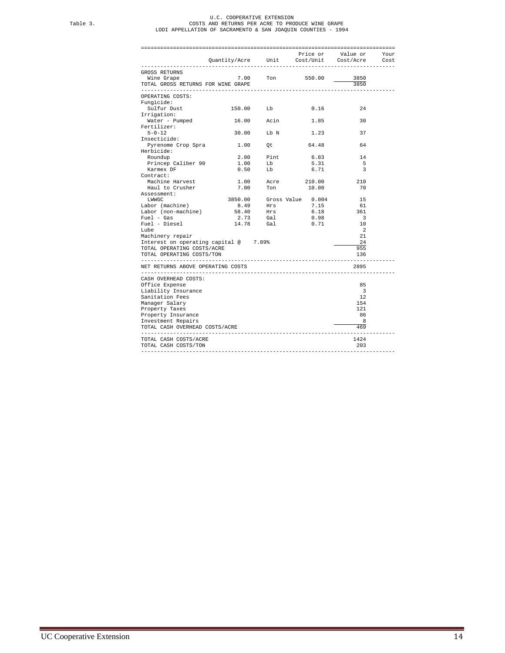# U.C. COOPERATIVE EXTENSION<br>COSTS AND RETURNS PER ACRE TO PRODUCE WINE GRAPE<br>LODI APPELLATION OF SACRAMENTO & SAN JOAQUIN COUNTIES - 1994

|                                                                       |                                             |           |                                                                                                                                                                                              | Price or Value or Your  |  |
|-----------------------------------------------------------------------|---------------------------------------------|-----------|----------------------------------------------------------------------------------------------------------------------------------------------------------------------------------------------|-------------------------|--|
|                                                                       | Quantity/Acre Unit Cost/Unit Cost/Acre Cost |           |                                                                                                                                                                                              |                         |  |
| GROSS RETURNS                                                         |                                             |           |                                                                                                                                                                                              |                         |  |
| Wine Grape $7.00$ Ton 550.00                                          |                                             |           |                                                                                                                                                                                              | 3850                    |  |
| TOTAL GROSS RETURNS FOR WINE GRAPE                                    |                                             |           |                                                                                                                                                                                              | 3850                    |  |
| ---------------                                                       |                                             |           |                                                                                                                                                                                              |                         |  |
| OPERATING COSTS:                                                      |                                             |           |                                                                                                                                                                                              |                         |  |
| Funqicide:                                                            |                                             |           |                                                                                                                                                                                              |                         |  |
| Sulfur Dust                                                           | 150.00 Lb                                   |           | 0.16                                                                                                                                                                                         | 24                      |  |
| Irrigation:                                                           |                                             |           |                                                                                                                                                                                              |                         |  |
| Water - Pumped                                                        | 16.00 Acin                                  |           | 1.85                                                                                                                                                                                         | 30                      |  |
| Fertilizer:                                                           |                                             |           |                                                                                                                                                                                              |                         |  |
| $5 - 0 - 12$                                                          | 30.00 Lb N                                  |           | 1.23                                                                                                                                                                                         | 37                      |  |
| Insecticide:                                                          |                                             |           |                                                                                                                                                                                              |                         |  |
| Pyrenome Crop Spra 1.00 Qt                                            |                                             |           | 64.48                                                                                                                                                                                        | 64                      |  |
| Herbicide:<br>Roundup                                                 |                                             |           | 6.83                                                                                                                                                                                         | 14                      |  |
|                                                                       |                                             | 2.00 Pint |                                                                                                                                                                                              |                         |  |
| Princep Caliber 90                                                    | 1.00<br>$0.50$ Lb                           | Lb        | 5.31                                                                                                                                                                                         | 5                       |  |
| Karmex DF<br>Contract:                                                |                                             |           | 6.71                                                                                                                                                                                         | $\overline{\mathbf{3}}$ |  |
| Machine Harvest                                                       |                                             |           |                                                                                                                                                                                              | 210                     |  |
| Haul to Crusher                                                       | 7.00                                        |           | 1.00 Acre 210.00<br>10.00                                                                                                                                                                    | 70                      |  |
| Assessment:                                                           |                                             | Ton       |                                                                                                                                                                                              |                         |  |
| LWWGC                                                                 | 3850.00                                     |           |                                                                                                                                                                                              | 15                      |  |
| Labor (machine)                                                       |                                             |           |                                                                                                                                                                                              | 61                      |  |
| Labor (non-machine)                                                   |                                             |           | $\begin{tabular}{cccc} 3850.00 & \text{Gross Value} & 0.004 \\ 8.49 & \text{Hrs} & 7.15 \\ 58.40 & \text{Hrs} & 6.18 \\ 2.73 & \text{Gal} & 0.98 \\ 14.78 & \text{Gal} & 0.71 \end{tabular}$ | 361                     |  |
|                                                                       |                                             |           |                                                                                                                                                                                              | $\overline{\mathbf{3}}$ |  |
| Fuel - Gas<br>Fuel - Diesel                                           |                                             |           | 0.71                                                                                                                                                                                         | 10                      |  |
| Lube                                                                  |                                             |           |                                                                                                                                                                                              | $\mathcal{L}$           |  |
| Machinery repair                                                      |                                             |           |                                                                                                                                                                                              | 21                      |  |
| Interest on operating capital @ 7.89%                                 |                                             |           |                                                                                                                                                                                              | 24                      |  |
| TOTAL OPERATING COSTS/ACRE                                            |                                             |           |                                                                                                                                                                                              | 955                     |  |
| TOTAL OPERATING COSTS/TON                                             |                                             |           |                                                                                                                                                                                              | 136                     |  |
| --------------------------------<br>NET RETURNS ABOVE OPERATING COSTS |                                             |           |                                                                                                                                                                                              | 2895                    |  |
|                                                                       |                                             |           |                                                                                                                                                                                              |                         |  |
| CASH OVERHEAD COSTS:                                                  |                                             |           |                                                                                                                                                                                              |                         |  |
| Office Expense                                                        |                                             |           |                                                                                                                                                                                              | 85                      |  |
| Liability Insurance                                                   |                                             |           |                                                                                                                                                                                              | 3                       |  |
| Sanitation Fees                                                       |                                             |           |                                                                                                                                                                                              | 12                      |  |
| Manager Salary                                                        |                                             |           |                                                                                                                                                                                              | 154                     |  |
| Property Taxes                                                        |                                             |           |                                                                                                                                                                                              | 121                     |  |
| Property Insurance                                                    |                                             |           |                                                                                                                                                                                              | 86                      |  |
| Investment Repairs                                                    |                                             |           |                                                                                                                                                                                              | 8                       |  |
| TOTAL CASH OVERHEAD COSTS/ACRE                                        |                                             |           |                                                                                                                                                                                              | 469                     |  |
| TOTAL CASH COSTS/ACRE                                                 |                                             |           |                                                                                                                                                                                              | 1424                    |  |
| TOTAL CASH COSTS/TON                                                  |                                             |           |                                                                                                                                                                                              | 203                     |  |
|                                                                       |                                             |           |                                                                                                                                                                                              |                         |  |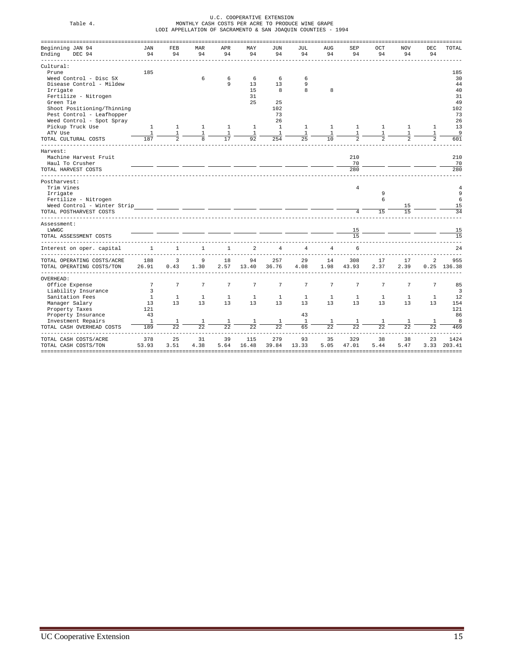| Table 4.                                               |                  |                    |                    |                    |                | U.C. COOPERATIVE EXTENSION | MONTHLY CASH COSTS PER ACRE TO PRODUCE WINE GRAPE            |                  |                 |              |           |                 |             |
|--------------------------------------------------------|------------------|--------------------|--------------------|--------------------|----------------|----------------------------|--------------------------------------------------------------|------------------|-----------------|--------------|-----------|-----------------|-------------|
|                                                        |                  |                    |                    |                    |                |                            | LODI APPELLATION OF SACRAMENTO & SAN JOAQUIN COUNTIES - 1994 |                  |                 |              |           |                 |             |
|                                                        |                  |                    |                    |                    |                |                            |                                                              |                  |                 |              |           |                 |             |
| Beginning JAN 94<br>Ending<br>DEC 94                   | <b>JAN</b><br>94 | FEB<br>94          | <b>MAR</b><br>94   | APR<br>94          | MAY<br>94      | JUN<br>94                  | JUL<br>94                                                    | <b>AUG</b><br>94 | SEP<br>94       | OCT<br>94    | NOV<br>94 | DEC<br>94       | TOTAL       |
| Cultural:                                              |                  |                    |                    |                    |                |                            |                                                              |                  |                 |              |           |                 |             |
| Prune                                                  | 185              |                    |                    |                    |                |                            |                                                              |                  |                 |              |           |                 | 185         |
| Weed Control - Disc 5X                                 |                  |                    | 6                  | 6                  | 6              | 6                          | 6                                                            |                  |                 |              |           |                 | 30          |
| Disease Control - Mildew                               |                  |                    |                    | 9                  | 13             | 13                         | 9                                                            |                  |                 |              |           |                 | 44          |
| Irrigate                                               |                  |                    |                    |                    | 15             | 8                          | 8                                                            | 8                |                 |              |           |                 | 40          |
| Fertilize - Nitrogen                                   |                  |                    |                    |                    | 31             |                            |                                                              |                  |                 |              |           |                 | 31          |
| Green Tie                                              |                  |                    |                    |                    | 25             | 25                         |                                                              |                  |                 |              |           |                 | 49          |
| Shoot Positioning/Thinning                             |                  |                    |                    |                    |                | 102<br>73                  |                                                              |                  |                 |              |           |                 | 102<br>73   |
| Pest Control - Leafhopper<br>Weed Control - Spot Spray |                  |                    |                    |                    |                | 26                         |                                                              |                  |                 |              |           |                 | 26          |
| Pickup Truck Use                                       | $\mathbf{1}$     | $\mathbf{1}$       | 1                  | 1                  | 1              | $\mathbf{1}$               | 1                                                            | 1                | 1               | 1            | 1         | 1               | 13          |
| ATV Use                                                | 1                | 1                  | 1                  | 1                  | 1              | $\mathbf{1}$               | 1                                                            | 1                | $\overline{1}$  |              |           | 1               | 9           |
| TOTAL CULTURAL COSTS                                   | 187              |                    |                    | 17                 | 92             | 254                        | 25                                                           | 10               |                 |              |           |                 | 601         |
| Harvest:                                               |                  |                    |                    |                    |                |                            |                                                              |                  |                 |              |           |                 |             |
| Machine Harvest Fruit                                  |                  |                    |                    |                    |                |                            |                                                              |                  | 210             |              |           |                 | 210         |
| Haul To Crusher                                        |                  |                    |                    |                    |                |                            |                                                              |                  | 70              |              |           |                 | 70          |
| TOTAL HARVEST COSTS                                    |                  |                    |                    |                    |                |                            |                                                              |                  | 280             |              |           |                 | 280         |
| Postharvest:                                           |                  |                    |                    |                    |                |                            |                                                              |                  |                 |              |           |                 |             |
| Trim Vines                                             |                  |                    |                    |                    |                |                            |                                                              |                  | $\overline{4}$  | 9            |           |                 |             |
| Irrigate<br>Fertilize - Nitrogen                       |                  |                    |                    |                    |                |                            |                                                              |                  |                 | 6            |           |                 |             |
| Weed Control - Winter Strip                            |                  |                    |                    |                    |                |                            |                                                              |                  |                 |              | 15        |                 | 15          |
| TOTAL POSTHARVEST COSTS                                |                  |                    |                    |                    |                |                            |                                                              |                  | $\overline{4}$  | 15           | 1.5       |                 | 34          |
| Assessment:                                            |                  |                    |                    |                    |                |                            |                                                              |                  |                 |              |           |                 |             |
| LWWGC                                                  |                  |                    |                    |                    |                |                            |                                                              |                  | $\frac{15}{15}$ |              |           |                 | 15          |
| TOTAL ASSESSMENT COSTS                                 |                  |                    |                    |                    |                |                            |                                                              |                  |                 |              |           |                 | 15          |
| Interest on oper. capital                              | 1                | $\mathbf{1}$       | 1                  | 1                  | $\mathfrak{D}$ | $\overline{4}$             | $\overline{4}$                                               | 4                | 6               |              |           |                 | 2.4         |
| TOTAL OPERATING COSTS/ACRE                             | 188              | $\overline{3}$     | 9                  | 18                 | 94             | 257                        | 29                                                           | 14               | 308             | 17           | 17        | $\overline{a}$  | 955         |
| TOTAL OPERATING COSTS/TON                              | 26.91            | 0.43               | 1.30               | 2.57               | 13.40          | 36.76                      | 4.08                                                         | 1.98             | 43.93           | 2.37         | 2.39      |                 | 0.25 136.38 |
| OVERHEAD:                                              |                  |                    |                    |                    |                |                            |                                                              |                  |                 |              |           |                 |             |
| Office Expense                                         | 7                | 7                  | $7\phantom{.0}$    | 7                  | 7              | $\overline{7}$             | $\overline{7}$                                               | 7                | 7               | 7            | 7         | $7\phantom{.0}$ | 85          |
| Liability Insurance                                    | 3                |                    |                    |                    |                |                            |                                                              |                  |                 |              |           |                 | 3           |
| Sanitation Fees                                        | $\mathbf{1}$     | $\mathbf{1}$<br>13 | $\mathbf{1}$<br>13 | $\mathbf{1}$<br>13 | 1              | $\mathbf{1}$               | 1                                                            | 1                | 1               | $\mathbf{1}$ | 1<br>13   | 1               | 12          |
| Manager Salary                                         | 13<br>121        |                    |                    |                    | 13             | 13                         | 13                                                           | 13               | 13              | 13           |           | 13              | 154<br>121  |
| Property Taxes<br>Property Insurance                   | 43               |                    |                    |                    |                |                            | 43                                                           |                  |                 |              |           |                 | 86          |
| Investment Repairs                                     | $1\,$            |                    |                    |                    |                | $\mathbf{1}$               | $\mathbf{1}$                                                 | 1                |                 | 1            |           | 1               | 8           |
| TOTAL CASH OVERHEAD COSTS                              | 189              | 22                 | 22                 | 2.2.               | 2.2            | 22                         | 65                                                           | 2.2.             | 2.2.            | 2.2          | 2.2       | 22.2            | 469         |
|                                                        |                  |                    |                    |                    |                |                            |                                                              |                  |                 |              |           |                 |             |
| TOTAL CASH COSTS/ACRE                                  | 378              | 25                 | 31                 | 39                 | 115            | 279                        | 93                                                           | 35               | 329             | 38           | 38        | 23              | 1424        |
| TOTAL CASH COSTS/TON                                   | 53.93            | 3.51               | 4.38               | 5.64               | 16.48          | 39.84                      | 13.33                                                        | 5.05             | 47.01           | 5.44         | 5.47      | 3.33            | 203.41      |
|                                                        |                  |                    |                    |                    |                |                            |                                                              |                  |                 |              |           |                 |             |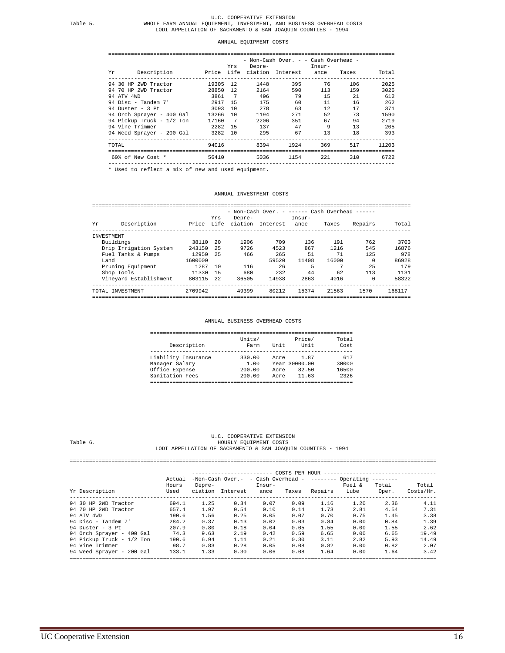#### ANNUAL EQUIPMENT COSTS

#### ========================================================================================= - Non-Cash Over. - - Cash Overhead -

| Yr.             | Description               |         | Yrs            | Depre- | Price Life ciation Interest | Insur-<br>ance | Taxes | Total |
|-----------------|---------------------------|---------|----------------|--------|-----------------------------|----------------|-------|-------|
|                 | 94 30 HP 2WD Tractor      | 19305   | 12.            | 1448   | 395                         | 76             | 106   | 2025  |
|                 | 94 70 HP 2WD Tractor      | 28850   | 12.            | 2164   | 590                         | 113            | 159   | 3026  |
| 94 ATV 4WD      |                           | 3861    | $\overline{7}$ | 496    | 79                          | 15             | 21    | 612   |
|                 | 94 Disc - Tandem $7'$     | 2917    | -15            | 175    | 60                          | 11             | 16    | 262   |
|                 | 94 Duster - 3 Pt          | 3093    | 10             | 278    | 63                          | 12             | 17    | 371   |
|                 | 94 Orch Sprayer - 400 Gal | 13266   | 10             | 1194   | 271                         | 52             | 73    | 1590  |
|                 | 94 Pickup Truck - 1/2 Ton | 17160   | $\overline{7}$ | 2206   | 351                         | 67             | 94    | 2719  |
| 94 Vine Trimmer |                           | 2282    | 15             | 137    | 47                          | 9              | 13    | 205   |
|                 | 94 Weed Spraver - 200 Gal | 3282 10 |                | 295    | 67                          | 13             | 18    | 393   |
| TOTAL           |                           | 94016   |                | 8394   | 1924                        | 369            | 517   | 11203 |
|                 | 60% of New Cost *         | 56410   |                | 5036   | 1154                        | 221            | 310   | 6722  |

----------------------------------------------------------------------------------------- \* Used to reflect a mix of new and used equipment.

#### ANNUAL INVESTMENT COSTS

#### =================================================================================================== - Non-Cash Over. - ------ Cash Overhead ------

| Υr         | Description            | Price   | Yrs<br>Life | Depre-<br>ciation | Interest | Insur-<br>ance | Taxes | Repairs | Total  |
|------------|------------------------|---------|-------------|-------------------|----------|----------------|-------|---------|--------|
| INVESTMENT |                        |         |             |                   |          |                |       |         |        |
| Buildings  |                        | 38110   | -20         | 1906              | 709      | 136            | 191   | 762     | 3703   |
|            | Drip Irrigation System | 243150  | 25          | 9726              | 4523     | 867            | 1216  | 545     | 16876  |
|            | Fuel Tanks & Pumps     | 12950   | 25          | 466               | 265      | 51             | 71    | 125     | 978    |
| Land       |                        | 1600000 |             |                   | 59520    | 11408          | 16000 |         | 86928  |
|            | Pruning Equipment      | 1287    | 1 N         | 116               | 26       |                |       | 25      | 179    |
|            | Shop Tools             | 11330   | 15          | 680               | 232      | 44             | 62    | 113     | 1131   |
|            | Vineyard Establishment | 803115  | 2.2.        | 36505             | 14938    | 2863           | 4016  |         | 58322  |
|            | TOTAL INVESTMENT       | 2709942 |             | 49399             | 80212    | 15374          | 21563 | 1570    | 168117 |
|            |                        |         |             |                   |          |                |       |         |        |

#### ANNUAL BUSINESS OVERHEAD COSTS

| Description         | Units/<br>Farm | Unit | Price/<br>Unit | Total<br>Cost |
|---------------------|----------------|------|----------------|---------------|
| Liability Insurance | 330.00         | Acre | 1.87           | 617           |
| Manager Salary      | 1.00           |      | Year 30000.00  | 30000         |
| Office Expense      | 200.00         | Acre | 82.50          | 16500         |
| Sanitation Fees     | 200.00         | Acre | 11.63          | 2326          |

#### U.C. COOPERATIVE EXTENSION HOURLY EQUIPMENT COSTS LODI APPELLATION OF SACRAMENTO & SAN JOAQUIN COUNTIES - 1994

# ================================================================================================================== ------------------------- COSTS PER HOUR ----------------------------------- Actual -Non-Cash Over.- - Cash Overhead - -------- Operating -------- Hours Depre- Insur- Fuel & Total Total Yr Description Used ciation Interest ance Taxes Repairs Lube Oper. Costs/Hr. 94 30 HP 2WD Tractor 694.1 1.25 0.34 0.10 0.14 1.73 2.81 4.54 7.31<br>
94 30 HP 2WD Tractor 694.1 1.97 0.54 0.10 0.14 1.73 2.81 4.54 7.31<br>
94 ATV 4WD 190.6 1.56 0.25 0.05 0.07 0.70 0.75 1.45 3.38<br>
94 Disc – Tandem 7' 284.2 0. 94 Vine Trimmer 98.7 0.83 0.28 0.05 0.08 0.82 0.00 0.82 2.07 94 Weed Sprayer - 200 Gal 133.1 1.33 0.30 0.06 0.08 1.64 0.00 1.64 3.42 ==================================================================================================================